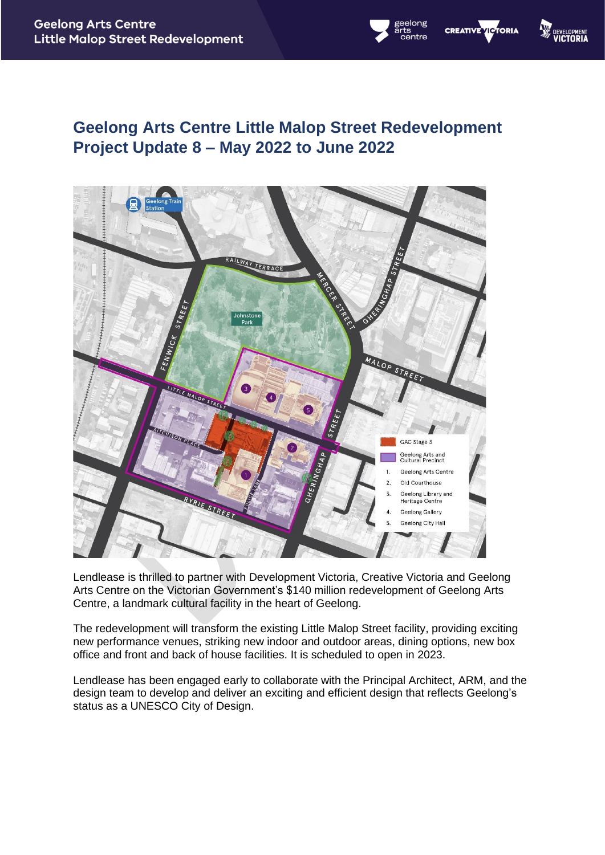# **Geelong Arts Centre Little Malop Street Redevelopment Project Update 8 – May 2022 to June 2022**

elong

**CREATIVE VICTORIA** 

**W** DEVELO



Lendlease is thrilled to partner with Development Victoria, Creative Victoria and Geelong Arts Centre on the Victorian Government's \$140 million redevelopment of Geelong Arts Centre, a landmark cultural facility in the heart of Geelong.

The redevelopment will transform the existing Little Malop Street facility, providing exciting new performance venues, striking new indoor and outdoor areas, dining options, new box office and front and back of house facilities. It is scheduled to open in 2023.

Lendlease has been engaged early to collaborate with the Principal Architect, ARM, and the design team to develop and deliver an exciting and efficient design that reflects Geelong's status as a UNESCO City of Design.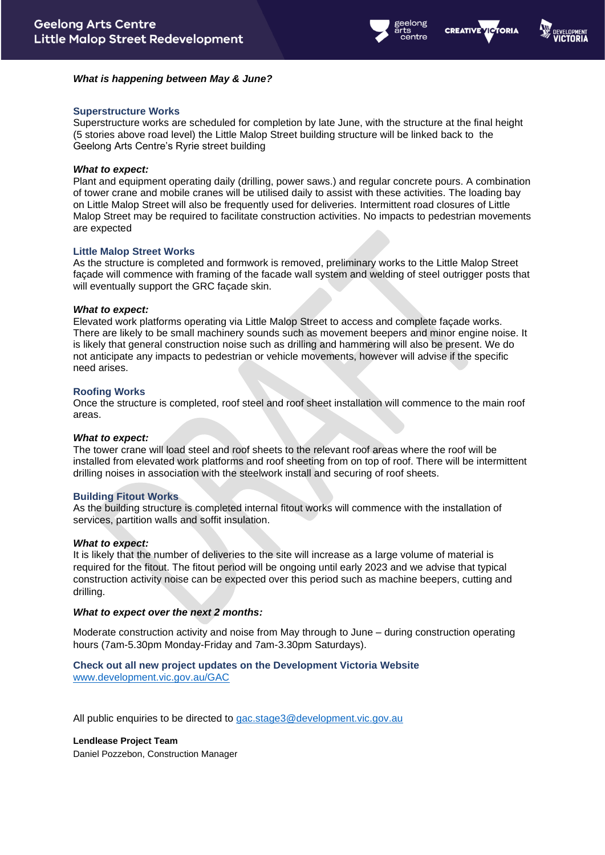



# *What is happening between May & June?*

## **Superstructure Works**

Superstructure works are scheduled for completion by late June, with the structure at the final height (5 stories above road level) the Little Malop Street building structure will be linked back to the Geelong Arts Centre's Ryrie street building

#### *What to expect:*

Plant and equipment operating daily (drilling, power saws.) and regular concrete pours. A combination of tower crane and mobile cranes will be utilised daily to assist with these activities. The loading bay on Little Malop Street will also be frequently used for deliveries. Intermittent road closures of Little Malop Street may be required to facilitate construction activities. No impacts to pedestrian movements are expected

## **Little Malop Street Works**

As the structure is completed and formwork is removed, preliminary works to the Little Malop Street facade will commence with framing of the facade wall system and welding of steel outrigger posts that will eventually support the GRC façade skin.

## *What to expect:*

Elevated work platforms operating via Little Malop Street to access and complete façade works. There are likely to be small machinery sounds such as movement beepers and minor engine noise. It is likely that general construction noise such as drilling and hammering will also be present. We do not anticipate any impacts to pedestrian or vehicle movements, however will advise if the specific need arises.

## **Roofing Works**

Once the structure is completed, roof steel and roof sheet installation will commence to the main roof areas.

## *What to expect:*

The tower crane will load steel and roof sheets to the relevant roof areas where the roof will be installed from elevated work platforms and roof sheeting from on top of roof. There will be intermittent drilling noises in association with the steelwork install and securing of roof sheets.

#### **Building Fitout Works**

As the building structure is completed internal fitout works will commence with the installation of services, partition walls and soffit insulation.

#### *What to expect:*

It is likely that the number of deliveries to the site will increase as a large volume of material is required for the fitout. The fitout period will be ongoing until early 2023 and we advise that typical construction activity noise can be expected over this period such as machine beepers, cutting and drilling.

#### *What to expect over the next 2 months:*

Moderate construction activity and noise from May through to June – during construction operating hours (7am-5.30pm Monday-Friday and 7am-3.30pm Saturdays).

# **Check out all new project updates on the Development Victoria Website** [www.development.vic.gov.au/GAC](http://www.development.vic.gov.au/GAC)

All public enquiries to be directed to [gac.stage3@development.vic.gov.au](mailto:gac.stage3@development.vic.gov.au)

#### **Lendlease Project Team**

Daniel Pozzebon, Construction Manager